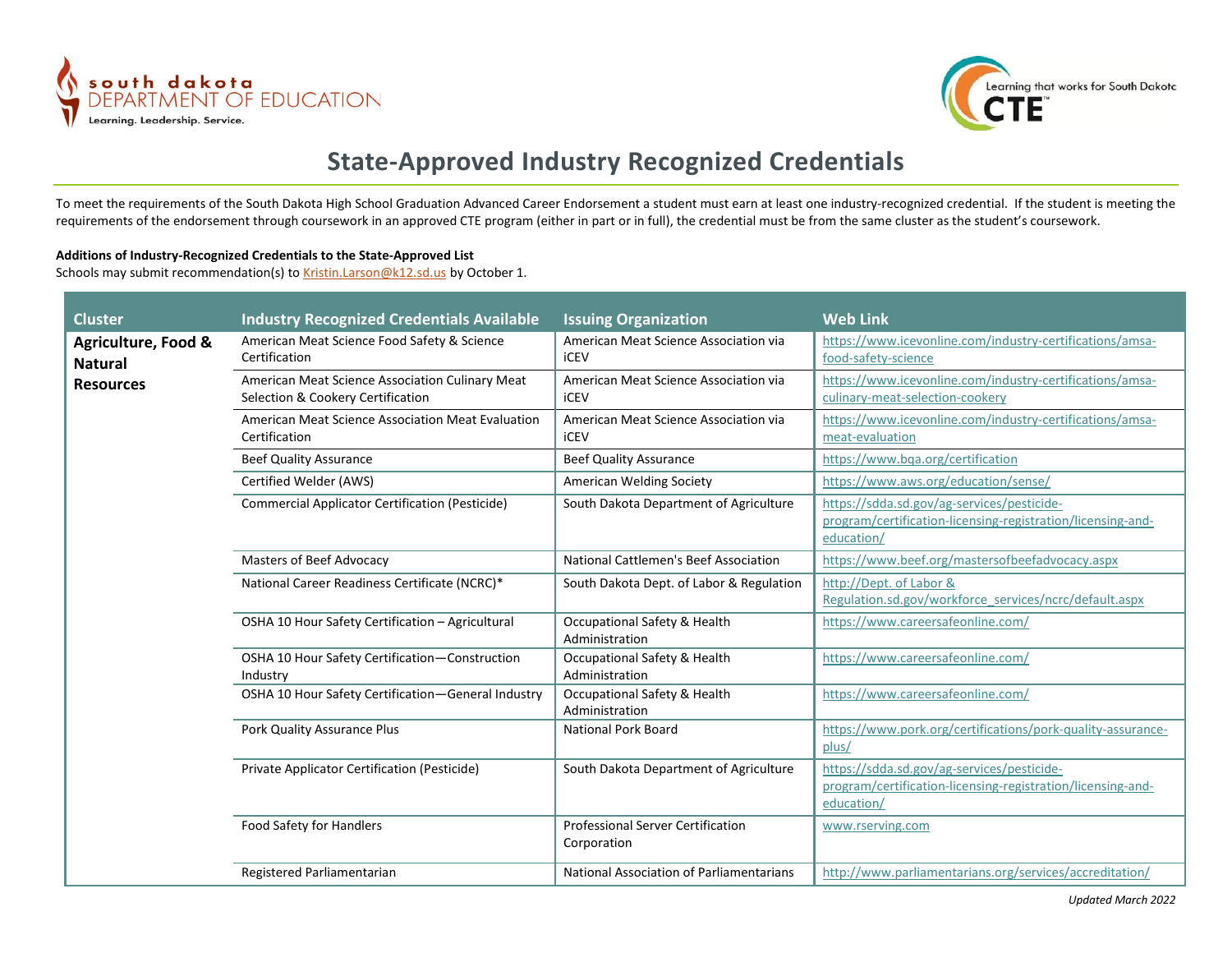



## **State-Approved Industry Recognized Credentials**

To meet the requirements of the South Dakota High School Graduation Advanced Career Endorsement a student must earn at least one industry-recognized credential. If the student is meeting the requirements of the endorsement through coursework in an approved CTE program (either in part or in full), the credential must be from the same cluster as the student's coursework.

## **Additions of Industry-Recognized Credentials to the State-Approved List**

Schools may submit recommendation(s) to [Kristin.Larson@k12.sd.us](mailto:Kristin.Larson@k12.sd.us) by October 1.

| <b>Cluster</b>                                            | <b>Industry Recognized Credentials Available</b>                                     | <b>Issuing Organization</b>                             | <b>Web Link</b>                                                                                                         |
|-----------------------------------------------------------|--------------------------------------------------------------------------------------|---------------------------------------------------------|-------------------------------------------------------------------------------------------------------------------------|
| Agriculture, Food &<br><b>Natural</b><br><b>Resources</b> | American Meat Science Food Safety & Science<br>Certification                         | American Meat Science Association via<br><b>iCEV</b>    | https://www.icevonline.com/industry-certifications/amsa-<br>food-safety-science                                         |
|                                                           | American Meat Science Association Culinary Meat<br>Selection & Cookery Certification | American Meat Science Association via<br>iCEV           | https://www.icevonline.com/industry-certifications/amsa-<br>culinary-meat-selection-cookery                             |
|                                                           | American Meat Science Association Meat Evaluation<br>Certification                   | American Meat Science Association via<br><b>iCEV</b>    | https://www.icevonline.com/industry-certifications/amsa-<br>meat-evaluation                                             |
|                                                           | <b>Beef Quality Assurance</b>                                                        | <b>Beef Quality Assurance</b>                           | https://www.bqa.org/certification                                                                                       |
|                                                           | Certified Welder (AWS)                                                               | American Welding Society                                | https://www.aws.org/education/sense/                                                                                    |
|                                                           | <b>Commercial Applicator Certification (Pesticide)</b>                               | South Dakota Department of Agriculture                  | https://sdda.sd.gov/ag-services/pesticide-<br>program/certification-licensing-registration/licensing-and-<br>education/ |
|                                                           | Masters of Beef Advocacy                                                             | National Cattlemen's Beef Association                   | https://www.beef.org/mastersofbeefadvocacy.aspx                                                                         |
|                                                           | National Career Readiness Certificate (NCRC)*                                        | South Dakota Dept. of Labor & Regulation                | http://Dept. of Labor &<br>Regulation.sd.gov/workforce services/ncrc/default.aspx                                       |
|                                                           | OSHA 10 Hour Safety Certification - Agricultural                                     | Occupational Safety & Health<br>Administration          | https://www.careersafeonline.com/                                                                                       |
|                                                           | OSHA 10 Hour Safety Certification-Construction<br>Industry                           | Occupational Safety & Health<br>Administration          | https://www.careersafeonline.com/                                                                                       |
|                                                           | OSHA 10 Hour Safety Certification-General Industry                                   | Occupational Safety & Health<br>Administration          | https://www.careersafeonline.com/                                                                                       |
|                                                           | Pork Quality Assurance Plus                                                          | <b>National Pork Board</b>                              | https://www.pork.org/certifications/pork-quality-assurance-<br>plus/                                                    |
|                                                           | Private Applicator Certification (Pesticide)                                         | South Dakota Department of Agriculture                  | https://sdda.sd.gov/ag-services/pesticide-<br>program/certification-licensing-registration/licensing-and-<br>education/ |
|                                                           | Food Safety for Handlers                                                             | <b>Professional Server Certification</b><br>Corporation | www.rserving.com                                                                                                        |
|                                                           | Registered Parliamentarian                                                           | National Association of Parliamentarians                | http://www.parliamentarians.org/services/accreditation/                                                                 |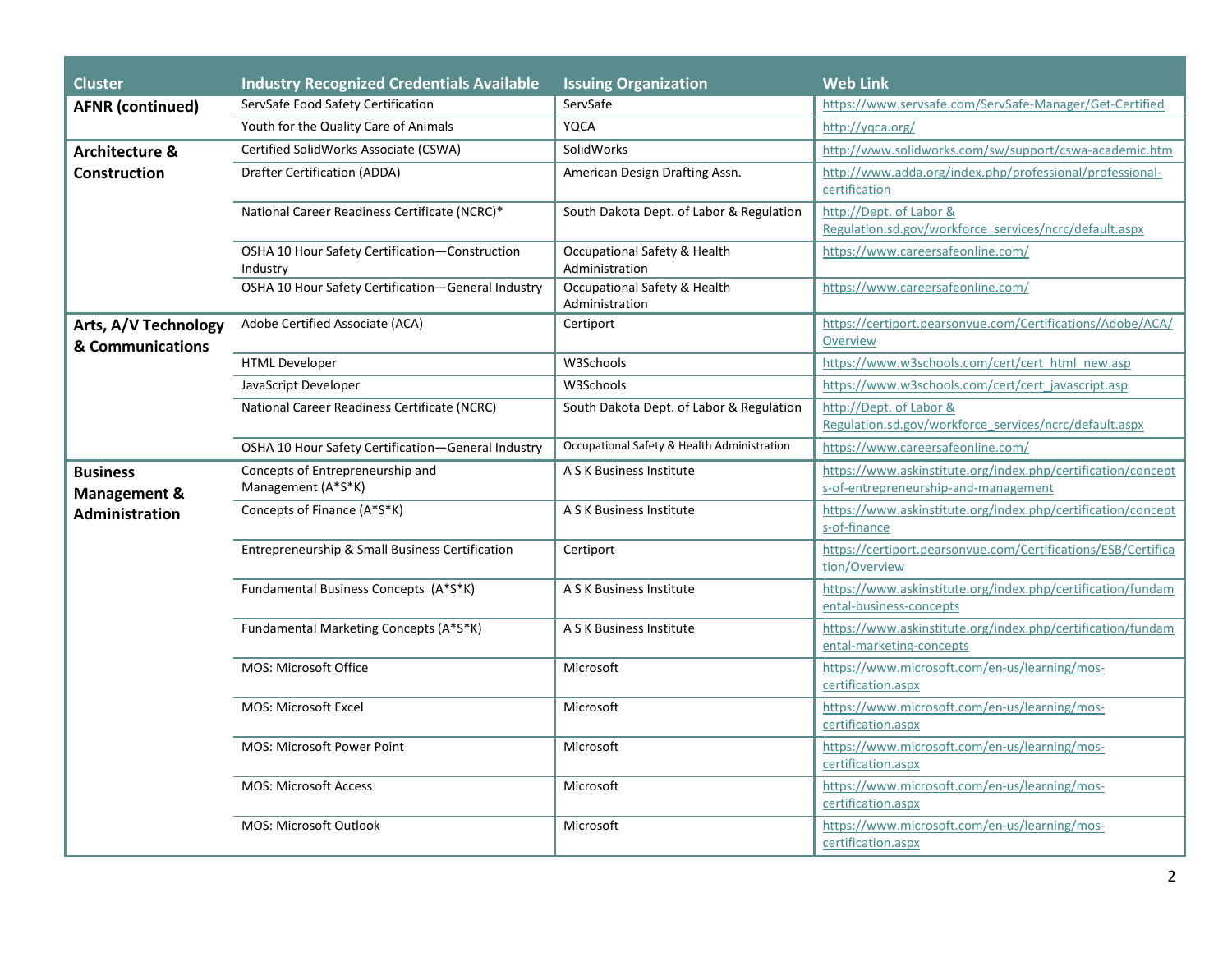| <b>Cluster</b>                                               | <b>Industry Recognized Credentials Available</b>           | <b>Issuing Organization</b>                    | <b>Web Link</b>                                                                                      |
|--------------------------------------------------------------|------------------------------------------------------------|------------------------------------------------|------------------------------------------------------------------------------------------------------|
| <b>AFNR</b> (continued)                                      | ServSafe Food Safety Certification                         | ServSafe                                       | https://www.servsafe.com/ServSafe-Manager/Get-Certified                                              |
|                                                              | Youth for the Quality Care of Animals                      | <b>YQCA</b>                                    | http://yqca.org/                                                                                     |
| <b>Architecture &amp;</b>                                    | Certified SolidWorks Associate (CSWA)                      | SolidWorks                                     | http://www.solidworks.com/sw/support/cswa-academic.htm                                               |
| <b>Construction</b>                                          | Drafter Certification (ADDA)                               | American Design Drafting Assn.                 | http://www.adda.org/index.php/professional/professional-<br>certification                            |
|                                                              | National Career Readiness Certificate (NCRC)*              | South Dakota Dept. of Labor & Regulation       | http://Dept. of Labor &<br>Regulation.sd.gov/workforce_services/ncrc/default.aspx                    |
|                                                              | OSHA 10 Hour Safety Certification-Construction<br>Industry | Occupational Safety & Health<br>Administration | https://www.careersafeonline.com/                                                                    |
|                                                              | OSHA 10 Hour Safety Certification-General Industry         | Occupational Safety & Health<br>Administration | https://www.careersafeonline.com/                                                                    |
| Arts, A/V Technology<br>& Communications                     | Adobe Certified Associate (ACA)                            | Certiport                                      | https://certiport.pearsonvue.com/Certifications/Adobe/ACA/<br>Overview                               |
|                                                              | <b>HTML Developer</b>                                      | W3Schools                                      | https://www.w3schools.com/cert/cert html new.asp                                                     |
|                                                              | JavaScript Developer                                       | W3Schools                                      | https://www.w3schools.com/cert/cert javascript.asp                                                   |
|                                                              | National Career Readiness Certificate (NCRC)               | South Dakota Dept. of Labor & Regulation       | http://Dept. of Labor &<br>Regulation.sd.gov/workforce_services/ncrc/default.aspx                    |
|                                                              | OSHA 10 Hour Safety Certification-General Industry         | Occupational Safety & Health Administration    | https://www.careersafeonline.com/                                                                    |
| <b>Business</b><br><b>Management &amp;</b><br>Administration | Concepts of Entrepreneurship and<br>Management (A*S*K)     | A S K Business Institute                       | https://www.askinstitute.org/index.php/certification/concept<br>s-of-entrepreneurship-and-management |
|                                                              | Concepts of Finance (A*S*K)                                | A S K Business Institute                       | https://www.askinstitute.org/index.php/certification/concept<br>s-of-finance                         |
|                                                              | Entrepreneurship & Small Business Certification            | Certiport                                      | https://certiport.pearsonvue.com/Certifications/ESB/Certifica<br>tion/Overview                       |
|                                                              | Fundamental Business Concepts (A*S*K)                      | A S K Business Institute                       | https://www.askinstitute.org/index.php/certification/fundam<br>ental-business-concepts               |
|                                                              | Fundamental Marketing Concepts (A*S*K)                     | A S K Business Institute                       | https://www.askinstitute.org/index.php/certification/fundam<br>ental-marketing-concepts              |
|                                                              | MOS: Microsoft Office                                      | Microsoft                                      | https://www.microsoft.com/en-us/learning/mos-<br>certification.aspx                                  |
|                                                              | MOS: Microsoft Excel                                       | Microsoft                                      | https://www.microsoft.com/en-us/learning/mos-<br>certification.aspx                                  |
|                                                              | <b>MOS: Microsoft Power Point</b>                          | Microsoft                                      | https://www.microsoft.com/en-us/learning/mos-<br>certification.aspx                                  |
|                                                              | <b>MOS: Microsoft Access</b>                               | Microsoft                                      | https://www.microsoft.com/en-us/learning/mos-<br>certification.aspx                                  |
|                                                              | <b>MOS: Microsoft Outlook</b>                              | Microsoft                                      | https://www.microsoft.com/en-us/learning/mos-<br>certification.aspx                                  |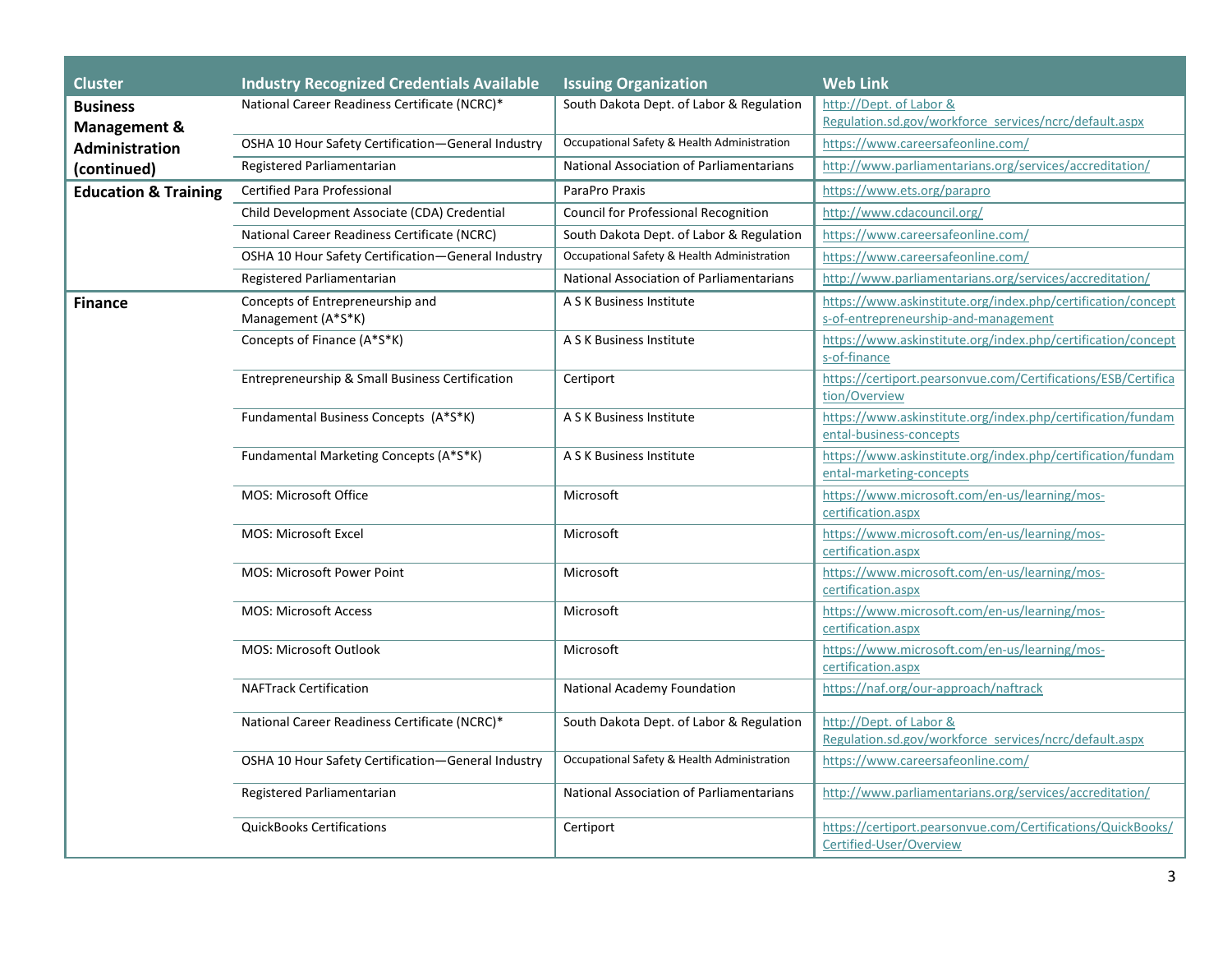| <b>Cluster</b>                            | <b>Industry Recognized Credentials Available</b>       | <b>Issuing Organization</b>                 | <b>Web Link</b>                                                                                      |
|-------------------------------------------|--------------------------------------------------------|---------------------------------------------|------------------------------------------------------------------------------------------------------|
| <b>Business</b>                           | National Career Readiness Certificate (NCRC)*          | South Dakota Dept. of Labor & Regulation    | http://Dept. of Labor &                                                                              |
| <b>Management &amp;</b><br>Administration |                                                        |                                             | Regulation.sd.gov/workforce_services/ncrc/default.aspx                                               |
|                                           | OSHA 10 Hour Safety Certification-General Industry     | Occupational Safety & Health Administration | https://www.careersafeonline.com/                                                                    |
| (continued)                               | Registered Parliamentarian                             | National Association of Parliamentarians    | http://www.parliamentarians.org/services/accreditation/                                              |
| <b>Education &amp; Training</b>           | Certified Para Professional                            | ParaPro Praxis                              | https://www.ets.org/parapro                                                                          |
|                                           | Child Development Associate (CDA) Credential           | <b>Council for Professional Recognition</b> | http://www.cdacouncil.org/                                                                           |
|                                           | National Career Readiness Certificate (NCRC)           | South Dakota Dept. of Labor & Regulation    | https://www.careersafeonline.com/                                                                    |
|                                           | OSHA 10 Hour Safety Certification-General Industry     | Occupational Safety & Health Administration | https://www.careersafeonline.com/                                                                    |
|                                           | Registered Parliamentarian                             | National Association of Parliamentarians    | http://www.parliamentarians.org/services/accreditation/                                              |
| <b>Finance</b>                            | Concepts of Entrepreneurship and<br>Management (A*S*K) | A S K Business Institute                    | https://www.askinstitute.org/index.php/certification/concept<br>s-of-entrepreneurship-and-management |
|                                           | Concepts of Finance (A*S*K)                            | A S K Business Institute                    | https://www.askinstitute.org/index.php/certification/concept<br>s-of-finance                         |
|                                           | Entrepreneurship & Small Business Certification        | Certiport                                   | https://certiport.pearsonvue.com/Certifications/ESB/Certifica<br>tion/Overview                       |
|                                           | Fundamental Business Concepts (A*S*K)                  | A S K Business Institute                    | https://www.askinstitute.org/index.php/certification/fundam<br>ental-business-concepts               |
|                                           | Fundamental Marketing Concepts (A*S*K)                 | A S K Business Institute                    | https://www.askinstitute.org/index.php/certification/fundam<br>ental-marketing-concepts              |
|                                           | <b>MOS: Microsoft Office</b>                           | Microsoft                                   | https://www.microsoft.com/en-us/learning/mos-<br>certification.aspx                                  |
|                                           | MOS: Microsoft Excel                                   | Microsoft                                   | https://www.microsoft.com/en-us/learning/mos-<br>certification.aspx                                  |
|                                           | <b>MOS: Microsoft Power Point</b>                      | Microsoft                                   | https://www.microsoft.com/en-us/learning/mos-<br>certification.aspx                                  |
|                                           | <b>MOS: Microsoft Access</b>                           | Microsoft                                   | https://www.microsoft.com/en-us/learning/mos-<br>certification.aspx                                  |
|                                           | <b>MOS: Microsoft Outlook</b>                          | Microsoft                                   | https://www.microsoft.com/en-us/learning/mos-<br>certification.aspx                                  |
|                                           | <b>NAFTrack Certification</b>                          | National Academy Foundation                 | https://naf.org/our-approach/naftrack                                                                |
|                                           | National Career Readiness Certificate (NCRC)*          | South Dakota Dept. of Labor & Regulation    | http://Dept. of Labor &<br>Regulation.sd.gov/workforce_services/ncrc/default.aspx                    |
|                                           | OSHA 10 Hour Safety Certification-General Industry     | Occupational Safety & Health Administration | https://www.careersafeonline.com/                                                                    |
|                                           | Registered Parliamentarian                             | National Association of Parliamentarians    | http://www.parliamentarians.org/services/accreditation/                                              |
|                                           | <b>QuickBooks Certifications</b>                       | Certiport                                   | https://certiport.pearsonvue.com/Certifications/QuickBooks/<br>Certified-User/Overview               |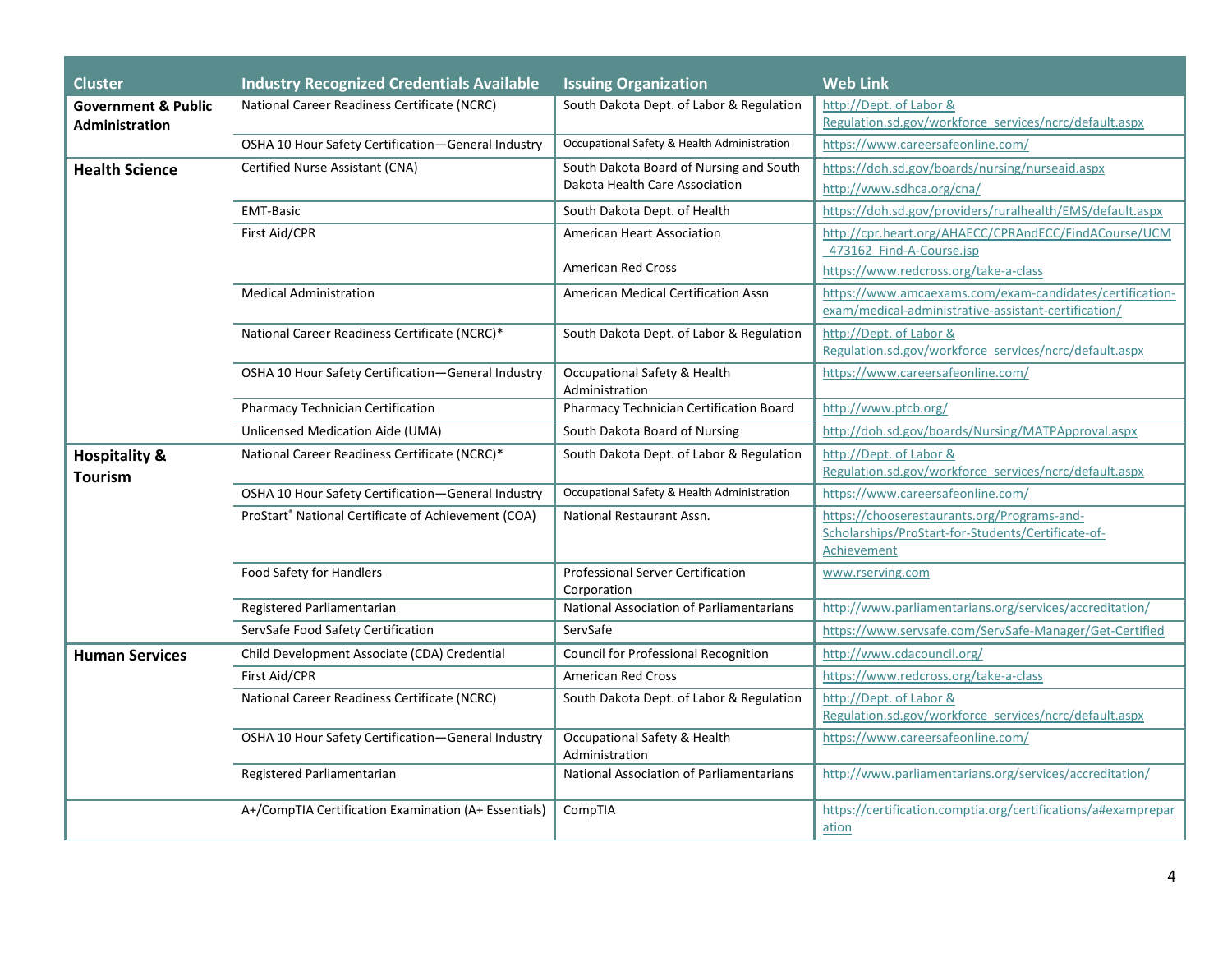| <b>Cluster</b>                      | <b>Industry Recognized Credentials Available</b>     | <b>Issuing Organization</b>                      | <b>Web Link</b>                                                                                                  |
|-------------------------------------|------------------------------------------------------|--------------------------------------------------|------------------------------------------------------------------------------------------------------------------|
| <b>Government &amp; Public</b>      | National Career Readiness Certificate (NCRC)         | South Dakota Dept. of Labor & Regulation         | http://Dept. of Labor &                                                                                          |
| <b>Administration</b>               |                                                      |                                                  | Regulation.sd.gov/workforce_services/ncrc/default.aspx                                                           |
|                                     | OSHA 10 Hour Safety Certification-General Industry   | Occupational Safety & Health Administration      | https://www.careersafeonline.com/                                                                                |
| <b>Health Science</b>               | Certified Nurse Assistant (CNA)                      | South Dakota Board of Nursing and South          | https://doh.sd.gov/boards/nursing/nurseaid.aspx                                                                  |
|                                     |                                                      | Dakota Health Care Association                   | http://www.sdhca.org/cna/                                                                                        |
|                                     | <b>EMT-Basic</b>                                     | South Dakota Dept. of Health                     | https://doh.sd.gov/providers/ruralhealth/EMS/default.aspx                                                        |
|                                     | First Aid/CPR                                        | <b>American Heart Association</b>                | http://cpr.heart.org/AHAECC/CPRAndECC/FindACourse/UCM<br>473162 Find-A-Course.jsp                                |
|                                     |                                                      | <b>American Red Cross</b>                        | https://www.redcross.org/take-a-class                                                                            |
|                                     | <b>Medical Administration</b>                        | American Medical Certification Assn              | https://www.amcaexams.com/exam-candidates/certification-<br>exam/medical-administrative-assistant-certification/ |
|                                     | National Career Readiness Certificate (NCRC)*        | South Dakota Dept. of Labor & Regulation         | http://Dept. of Labor &<br>Regulation.sd.gov/workforce services/ncrc/default.aspx                                |
|                                     | OSHA 10 Hour Safety Certification-General Industry   | Occupational Safety & Health<br>Administration   | https://www.careersafeonline.com/                                                                                |
|                                     | Pharmacy Technician Certification                    | <b>Pharmacy Technician Certification Board</b>   | http://www.ptcb.org/                                                                                             |
|                                     | Unlicensed Medication Aide (UMA)                     | South Dakota Board of Nursing                    | http://doh.sd.gov/boards/Nursing/MATPApproval.aspx                                                               |
| <b>Hospitality &amp;</b><br>Tourism | National Career Readiness Certificate (NCRC)*        | South Dakota Dept. of Labor & Regulation         | http://Dept. of Labor &<br>Regulation.sd.gov/workforce services/ncrc/default.aspx                                |
|                                     | OSHA 10 Hour Safety Certification-General Industry   | Occupational Safety & Health Administration      | https://www.careersafeonline.com/                                                                                |
|                                     | ProStart® National Certificate of Achievement (COA)  | National Restaurant Assn.                        | https://chooserestaurants.org/Programs-and-<br>Scholarships/ProStart-for-Students/Certificate-of-<br>Achievement |
|                                     | Food Safety for Handlers                             | Professional Server Certification<br>Corporation | www.rserving.com                                                                                                 |
|                                     | Registered Parliamentarian                           | National Association of Parliamentarians         | http://www.parliamentarians.org/services/accreditation/                                                          |
|                                     | ServSafe Food Safety Certification                   | ServSafe                                         | https://www.servsafe.com/ServSafe-Manager/Get-Certified                                                          |
| <b>Human Services</b>               | Child Development Associate (CDA) Credential         | <b>Council for Professional Recognition</b>      | http://www.cdacouncil.org/                                                                                       |
|                                     | First Aid/CPR                                        | <b>American Red Cross</b>                        | https://www.redcross.org/take-a-class                                                                            |
|                                     | National Career Readiness Certificate (NCRC)         | South Dakota Dept. of Labor & Regulation         | http://Dept. of Labor &<br>Regulation.sd.gov/workforce services/ncrc/default.aspx                                |
|                                     | OSHA 10 Hour Safety Certification-General Industry   | Occupational Safety & Health<br>Administration   | https://www.careersafeonline.com/                                                                                |
|                                     | Registered Parliamentarian                           | National Association of Parliamentarians         | http://www.parliamentarians.org/services/accreditation/                                                          |
|                                     | A+/CompTIA Certification Examination (A+ Essentials) | CompTIA                                          | https://certification.comptia.org/certifications/a#examprepar<br>ation                                           |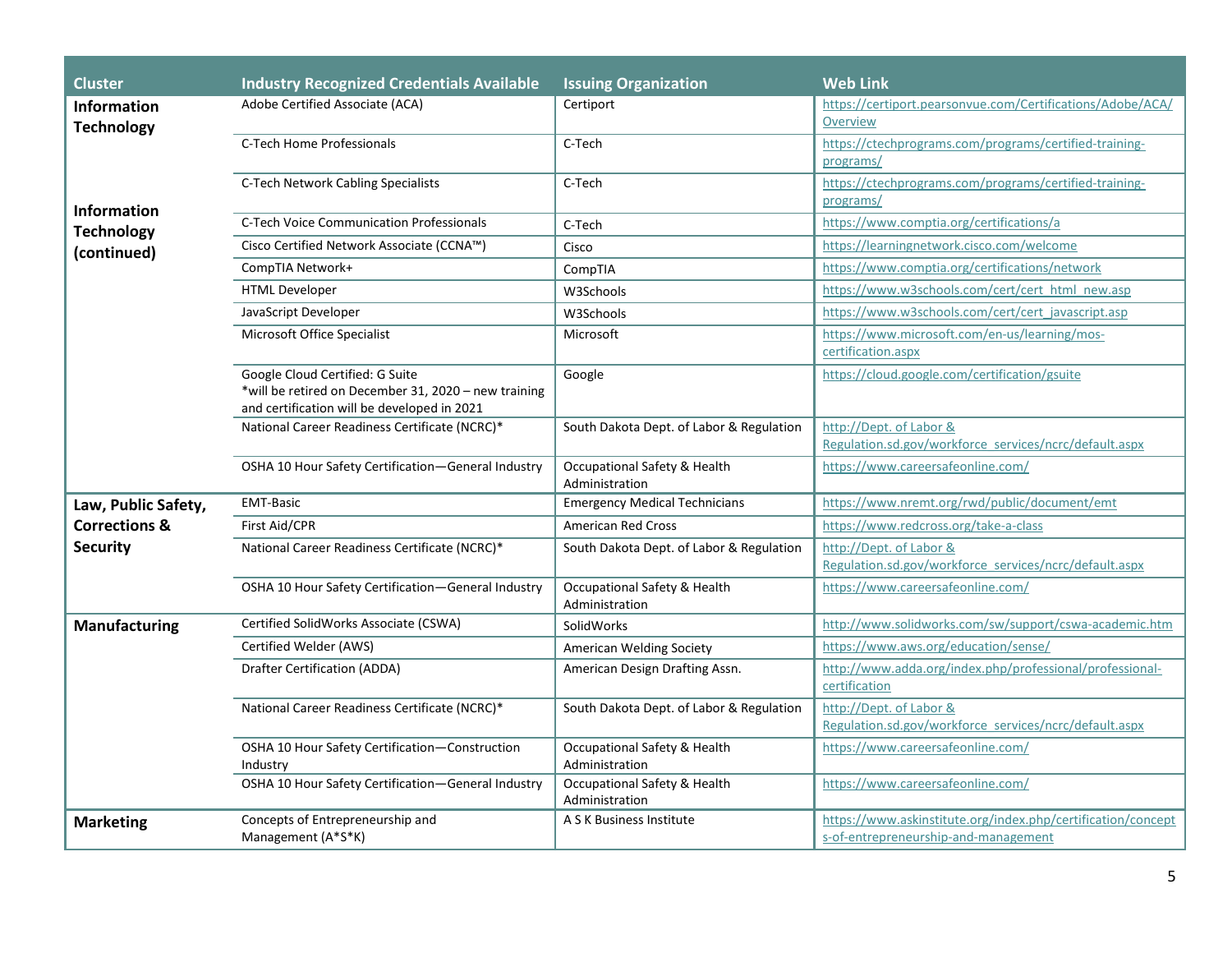| <b>Cluster</b>                                                | <b>Industry Recognized Credentials Available</b>                                                                                       | <b>Issuing Organization</b>                    | <b>Web Link</b>                                                                                      |
|---------------------------------------------------------------|----------------------------------------------------------------------------------------------------------------------------------------|------------------------------------------------|------------------------------------------------------------------------------------------------------|
| <b>Information</b><br><b>Technology</b><br><b>Information</b> | Adobe Certified Associate (ACA)                                                                                                        | Certiport                                      | https://certiport.pearsonvue.com/Certifications/Adobe/ACA/<br>Overview                               |
|                                                               | C-Tech Home Professionals                                                                                                              | C-Tech                                         | https://ctechprograms.com/programs/certified-training-<br>programs/                                  |
|                                                               | <b>C-Tech Network Cabling Specialists</b>                                                                                              | C-Tech                                         | https://ctechprograms.com/programs/certified-training-<br>programs/                                  |
| <b>Technology</b>                                             | <b>C-Tech Voice Communication Professionals</b>                                                                                        | C-Tech                                         | https://www.comptia.org/certifications/a                                                             |
| (continued)                                                   | Cisco Certified Network Associate (CCNA™)                                                                                              | Cisco                                          | https://learningnetwork.cisco.com/welcome                                                            |
|                                                               | CompTIA Network+                                                                                                                       | CompTIA                                        | https://www.comptia.org/certifications/network                                                       |
|                                                               | <b>HTML Developer</b>                                                                                                                  | W3Schools                                      | https://www.w3schools.com/cert/cert html new.asp                                                     |
|                                                               | JavaScript Developer                                                                                                                   | W3Schools                                      | https://www.w3schools.com/cert/cert javascript.asp                                                   |
|                                                               | Microsoft Office Specialist                                                                                                            | Microsoft                                      | https://www.microsoft.com/en-us/learning/mos-<br>certification.aspx                                  |
|                                                               | Google Cloud Certified: G Suite<br>*will be retired on December 31, 2020 - new training<br>and certification will be developed in 2021 | Google                                         | https://cloud.google.com/certification/gsuite                                                        |
|                                                               | National Career Readiness Certificate (NCRC)*                                                                                          | South Dakota Dept. of Labor & Regulation       | http://Dept. of Labor &<br>Regulation.sd.gov/workforce_services/ncrc/default.aspx                    |
|                                                               | OSHA 10 Hour Safety Certification-General Industry                                                                                     | Occupational Safety & Health<br>Administration | https://www.careersafeonline.com/                                                                    |
| Law, Public Safety,                                           | <b>EMT-Basic</b>                                                                                                                       | <b>Emergency Medical Technicians</b>           | https://www.nremt.org/rwd/public/document/emt                                                        |
| <b>Corrections &amp;</b>                                      | First Aid/CPR                                                                                                                          | <b>American Red Cross</b>                      | https://www.redcross.org/take-a-class                                                                |
| <b>Security</b>                                               | National Career Readiness Certificate (NCRC)*                                                                                          | South Dakota Dept. of Labor & Regulation       | http://Dept. of Labor &<br>Regulation.sd.gov/workforce_services/ncrc/default.aspx                    |
|                                                               | OSHA 10 Hour Safety Certification-General Industry                                                                                     | Occupational Safety & Health<br>Administration | https://www.careersafeonline.com/                                                                    |
| <b>Manufacturing</b>                                          | Certified SolidWorks Associate (CSWA)                                                                                                  | SolidWorks                                     | http://www.solidworks.com/sw/support/cswa-academic.htm                                               |
|                                                               | Certified Welder (AWS)                                                                                                                 | American Welding Society                       | https://www.aws.org/education/sense/                                                                 |
|                                                               | <b>Drafter Certification (ADDA)</b>                                                                                                    | American Design Drafting Assn.                 | http://www.adda.org/index.php/professional/professional-<br>certification                            |
|                                                               | National Career Readiness Certificate (NCRC)*                                                                                          | South Dakota Dept. of Labor & Regulation       | http://Dept. of Labor &<br>Regulation.sd.gov/workforce_services/ncrc/default.aspx                    |
|                                                               | OSHA 10 Hour Safety Certification-Construction<br>Industry                                                                             | Occupational Safety & Health<br>Administration | https://www.careersafeonline.com/                                                                    |
|                                                               | OSHA 10 Hour Safety Certification-General Industry                                                                                     | Occupational Safety & Health<br>Administration | https://www.careersafeonline.com/                                                                    |
| <b>Marketing</b>                                              | Concepts of Entrepreneurship and<br>Management (A*S*K)                                                                                 | A S K Business Institute                       | https://www.askinstitute.org/index.php/certification/concept<br>s-of-entrepreneurship-and-management |